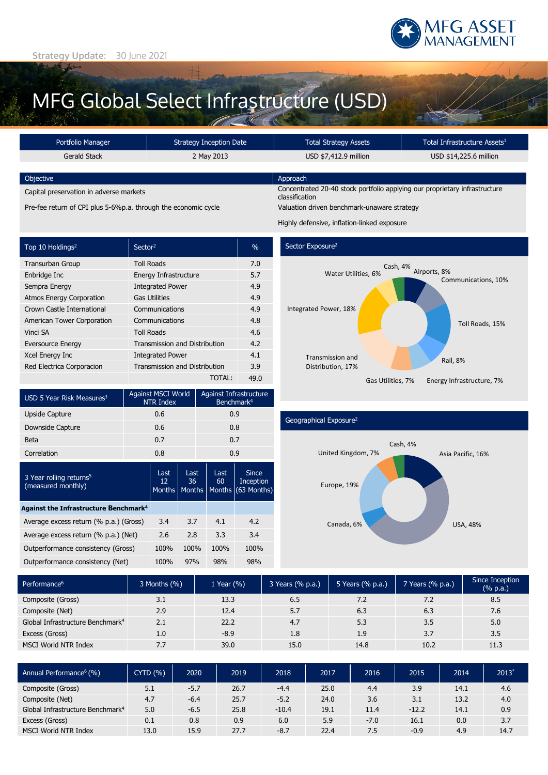

# MFG Global Select Infrastructure (USD)

| Portfolio Manager                                              | Strategy Inception Date | <b>Total Strategy Assets</b>                                                                 | Total Infrastructure Assets <sup>1</sup> |  |  |
|----------------------------------------------------------------|-------------------------|----------------------------------------------------------------------------------------------|------------------------------------------|--|--|
| Gerald Stack                                                   | 2 May 2013              | USD \$7,412.9 million                                                                        | USD \$14,225.6 million                   |  |  |
|                                                                |                         |                                                                                              |                                          |  |  |
| Objective                                                      |                         | Approach                                                                                     |                                          |  |  |
| Capital preservation in adverse markets                        |                         | Concentrated 20-40 stock portfolio applying our proprietary infrastructure<br>classification |                                          |  |  |
| Pre-fee return of CPI plus 5-6%p.a. through the economic cycle |                         | Valuation driven benchmark-unaware strategy                                                  |                                          |  |  |
|                                                                |                         | Highly defensive, inflation-linked exposure                                                  |                                          |  |  |

| Top 10 Holdings <sup>2</sup>    | Sector <sup>2</sup>                  | $\frac{0}{0}$ |
|---------------------------------|--------------------------------------|---------------|
| Transurban Group                | <b>Toll Roads</b>                    | 7.0           |
| Enbridge Inc                    | Energy Infrastructure                | 5.7           |
| Sempra Energy                   | <b>Integrated Power</b>              | 4.9           |
| <b>Atmos Energy Corporation</b> | <b>Gas Utilities</b>                 | 4.9           |
| Crown Castle International      | Communications                       | 4.9           |
| American Tower Corporation      | Communications                       | 4.8           |
| Vinci SA                        | <b>Toll Roads</b>                    | 4.6           |
| <b>Eversource Energy</b>        | <b>Transmission and Distribution</b> | 4.2           |
| Xcel Energy Inc                 | <b>Integrated Power</b>              | 4.1           |
| Red Electrica Corporacion       | <b>Transmission and Distribution</b> | 3.9           |
|                                 | TOTAL:                               | 49.0          |



Sector Exposure<sup>2</sup>



### USD 5 Year Risk Measures<sup>3</sup> Against MSCI World NTR Index Against Infrastructure Benchmark4 Upside Capture **0.6** 0.9 Downside Capture 0.6 0.8 Beta 0.7 0.7 Correlation 0.8 0.9 3 Year rolling returns<sup>5</sup> (measured monthly) Last 12 **Months** Last 36 **Months** Last  $60$ **Months** Since Inception (63 Months) **Against the Infrastructure Benchmark4** Average excess return (% p.a.) (Gross) 3.4 3.7 4.1 4.2 Average excess return (% p.a.) (Net) 2.6 2.8 3.3 3.4 Outperformance consistency (Gross) 100% 100% 100% 100% Outperformance consistency (Net) 100% 97% 98% 98%

## Geographical Exposure2



| Performance <sup>6</sup>                     | 3 Months (%) | 1 Year $(\% )$ | 3 Years (% p.a.) | 5 Years (% p.a.) | 7 Years (% p.a.) | Since Inception<br>$(% \mathbf{a})$ (% p.a.) |
|----------------------------------------------|--------------|----------------|------------------|------------------|------------------|----------------------------------------------|
| Composite (Gross)                            | 3.1          | 13.3           | 6.5              | 7.2              | 7.2              | 8.5                                          |
| Composite (Net)                              | 2.9          | 12.4           | 5.7              | 6.3              | 6.3              | 7.6                                          |
| Global Infrastructure Benchmark <sup>4</sup> | 2.1          | 22.2           | 4.7              | 5.3              | 3.5              | 5.0                                          |
| Excess (Gross)                               | 1.0          | $-8.9$         | 1.8              | 1.9              | 3.7              | 3.5                                          |
| MSCI World NTR Index                         | 7.7          | 39.0           | 15.0             | 14.8             | 10.2             | 11.3                                         |

| Annual Performance <sup>6</sup> (%)          | <b>CYTD (%)</b> | 2020   | 2019 | 2018    | 2017 | 2016   | 2015    | 2014 | $2013*$ |
|----------------------------------------------|-----------------|--------|------|---------|------|--------|---------|------|---------|
| Composite (Gross)                            | 5.1             | $-5.7$ | 26.7 | $-4.4$  | 25.0 | 4.4    | 3.9     | 14.1 | 4.6     |
| Composite (Net)                              | 4.7             | $-6.4$ | 25.7 | $-5.2$  | 24.0 | 3.6    | 3.1     | 13.2 | 4.0     |
| Global Infrastructure Benchmark <sup>4</sup> | 5.0             | $-6.5$ | 25.8 | $-10.4$ | 19.1 | 11.4   | $-12.2$ | 14.1 | 0.9     |
| Excess (Gross)                               | 0.1             | 0.8    | 0.9  | 6.0     | 5.9  | $-7.0$ | 16.1    | 0.0  | 3.7     |
| MSCI World NTR Index                         | 13.0            | 15.9   | 27.7 | $-8.7$  | 22.4 | 7.5    | $-0.9$  | 4.9  | 14.7    |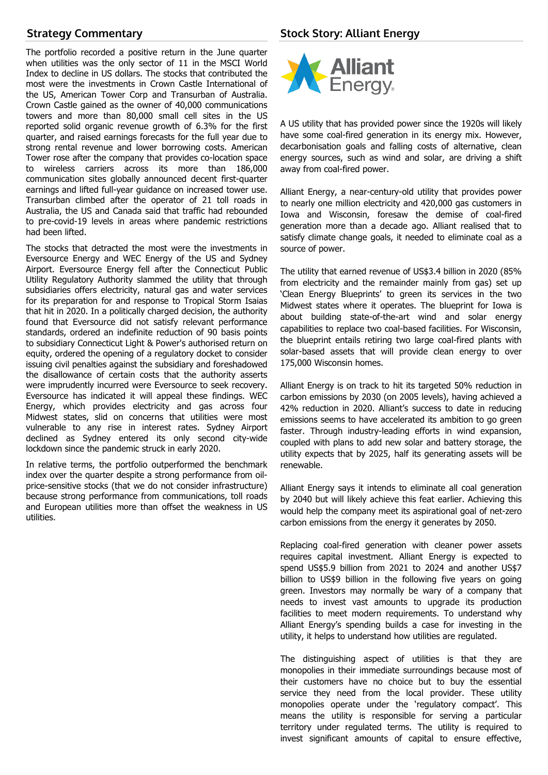# **Strategy Commentary**

The portfolio recorded a positive return in the June quarter when utilities was the only sector of 11 in the MSCI World Index to decline in US dollars. The stocks that contributed the most were the investments in Crown Castle International of the US, American Tower Corp and Transurban of Australia. Crown Castle gained as the owner of 40,000 communications towers and more than 80,000 small cell sites in the US reported solid organic revenue growth of 6.3% for the first quarter, and raised earnings forecasts for the full year due to strong rental revenue and lower borrowing costs. American Tower rose after the company that provides co-location space to wireless carriers across its more than 186,000 communication sites globally announced decent first-quarter earnings and lifted full-year guidance on increased tower use. Transurban climbed after the operator of 21 toll roads in Australia, the US and Canada said that traffic had rebounded to pre-covid-19 levels in areas where pandemic restrictions had been lifted.

The stocks that detracted the most were the investments in Eversource Energy and WEC Energy of the US and Sydney Airport. Eversource Energy fell after the Connecticut Public Utility Regulatory Authority slammed the utility that through subsidiaries offers electricity, natural gas and water services for its preparation for and response to Tropical Storm Isaias that hit in 2020. In a politically charged decision, the authority found that Eversource did not satisfy relevant performance standards, ordered an indefinite reduction of 90 basis points to subsidiary Connecticut Light & Power's authorised return on equity, ordered the opening of a regulatory docket to consider issuing civil penalties against the subsidiary and foreshadowed the disallowance of certain costs that the authority asserts were imprudently incurred were Eversource to seek recovery. Eversource has indicated it will appeal these findings. WEC Energy, which provides electricity and gas across four Midwest states, slid on concerns that utilities were most vulnerable to any rise in interest rates. Sydney Airport declined as Sydney entered its only second city-wide lockdown since the pandemic struck in early 2020.

In relative terms, the portfolio outperformed the benchmark index over the quarter despite a strong performance from oilprice-sensitive stocks (that we do not consider infrastructure) because strong performance from communications, toll roads and European utilities more than offset the weakness in US utilities.



A US utility that has provided power since the 1920s will likely have some coal-fired generation in its energy mix. However, decarbonisation goals and falling costs of alternative, clean energy sources, such as wind and solar, are driving a shift away from coal-fired power.

Alliant Energy, a near-century-old utility that provides power to nearly one million electricity and 420,000 gas customers in Iowa and Wisconsin, foresaw the demise of coal-fired generation more than a decade ago. Alliant realised that to satisfy climate change goals, it needed to eliminate coal as a source of power.

The utility that earned revenue of US\$3.4 billion in 2020 (85% from electricity and the remainder mainly from gas) set up 'Clean Energy Blueprints' to green its services in the two Midwest states where it operates. The blueprint for Iowa is about building state-of-the-art wind and solar energy capabilities to replace two coal-based facilities. For Wisconsin, the blueprint entails retiring two large coal-fired plants with solar-based assets that will provide clean energy to over 175,000 Wisconsin homes.

Alliant Energy is on track to hit its targeted 50% reduction in carbon emissions by 2030 (on 2005 levels), having achieved a 42% reduction in 2020. Alliant's success to date in reducing emissions seems to have accelerated its ambition to go green faster. Through industry-leading efforts in wind expansion, coupled with plans to add new solar and battery storage, the utility expects that by 2025, half its generating assets will be renewable.

Alliant Energy says it intends to eliminate all coal generation by 2040 but will likely achieve this feat earlier. Achieving this would help the company meet its aspirational goal of net-zero carbon emissions from the energy it generates by 2050.

Replacing coal-fired generation with cleaner power assets requires capital investment. Alliant Energy is expected to spend US\$5.9 billion from 2021 to 2024 and another US\$7 billion to US\$9 billion in the following five years on going green. Investors may normally be wary of a company that needs to invest vast amounts to upgrade its production facilities to meet modern requirements. To understand why Alliant Energy's spending builds a case for investing in the utility, it helps to understand how utilities are regulated.

The distinguishing aspect of utilities is that they are monopolies in their immediate surroundings because most of their customers have no choice but to buy the essential service they need from the local provider. These utility monopolies operate under the 'regulatory compact'. This means the utility is responsible for serving a particular territory under regulated terms. The utility is required to invest significant amounts of capital to ensure effective,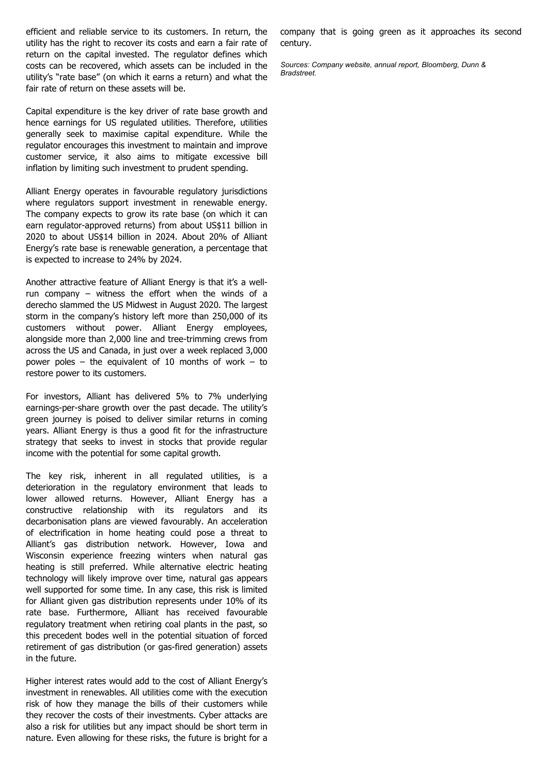efficient and reliable service to its customers. In return, the utility has the right to recover its costs and earn a fair rate of return on the capital invested. The regulator defines which costs can be recovered, which assets can be included in the utility's "rate base" (on which it earns a return) and what the fair rate of return on these assets will be.

Capital expenditure is the key driver of rate base growth and hence earnings for US regulated utilities. Therefore, utilities generally seek to maximise capital expenditure. While the regulator encourages this investment to maintain and improve customer service, it also aims to mitigate excessive bill inflation by limiting such investment to prudent spending.

Alliant Energy operates in favourable regulatory jurisdictions where regulators support investment in renewable energy. The company expects to grow its rate base (on which it can earn regulator-approved returns) from about US\$11 billion in 2020 to about US\$14 billion in 2024. About 20% of Alliant Energy's rate base is renewable generation, a percentage that is expected to increase to 24% by 2024.

Another attractive feature of Alliant Energy is that it's a wellrun company – witness the effort when the winds of a derecho slammed the US Midwest in August 2020. The largest storm in the company's history left more than 250,000 of its customers without power. Alliant Energy employees, alongside more than 2,000 line and tree-trimming crews from across the US and Canada, in just over a week replaced 3,000 power poles – the equivalent of 10 months of work – to restore power to its customers.

For investors, Alliant has delivered 5% to 7% underlying earnings-per-share growth over the past decade. The utility's green journey is poised to deliver similar returns in coming years. Alliant Energy is thus a good fit for the infrastructure strategy that seeks to invest in stocks that provide regular income with the potential for some capital growth.

The key risk, inherent in all regulated utilities, is a deterioration in the regulatory environment that leads to lower allowed returns. However, Alliant Energy has a constructive relationship with its regulators and its decarbonisation plans are viewed favourably. An acceleration of electrification in home heating could pose a threat to Alliant's gas distribution network. However, Iowa and Wisconsin experience freezing winters when natural gas heating is still preferred. While alternative electric heating technology will likely improve over time, natural gas appears well supported for some time. In any case, this risk is limited for Alliant given gas distribution represents under 10% of its rate base. Furthermore, Alliant has received favourable regulatory treatment when retiring coal plants in the past, so this precedent bodes well in the potential situation of forced retirement of gas distribution (or gas-fired generation) assets in the future.

Higher interest rates would add to the cost of Alliant Energy's investment in renewables. All utilities come with the execution risk of how they manage the bills of their customers while they recover the costs of their investments. Cyber attacks are also a risk for utilities but any impact should be short term in nature. Even allowing for these risks, the future is bright for a

company that is going green as it approaches its second century.

*Sources: Company website, annual report, Bloomberg, Dunn & Bradstreet.*